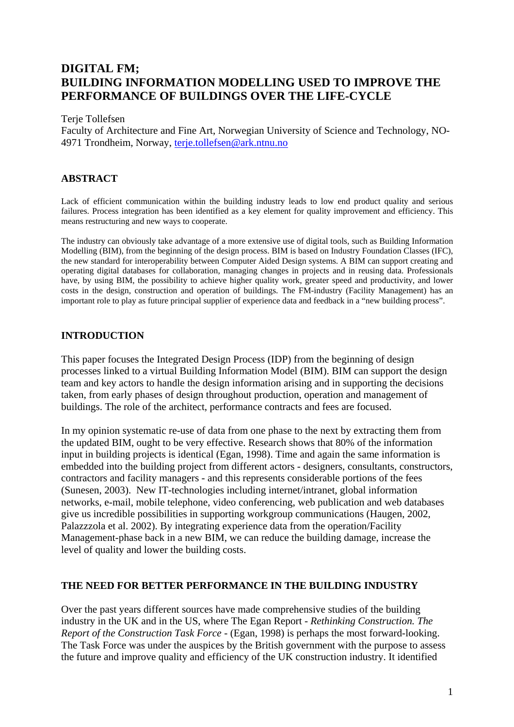# **DIGITAL FM; BUILDING INFORMATION MODELLING USED TO IMPROVE THE PERFORMANCE OF BUILDINGS OVER THE LIFE-CYCLE**

#### Terje Tollefsen

Faculty of Architecture and Fine Art, Norwegian University of Science and Technology, NO-4971 Trondheim, Norway, [terje.tollefsen@ark.ntnu.no](mailto:terje.tollefsen@ark.ntnu.no)

#### **ABSTRACT**

Lack of efficient communication within the building industry leads to low end product quality and serious failures. Process integration has been identified as a key element for quality improvement and efficiency. This means restructuring and new ways to cooperate.

The industry can obviously take advantage of a more extensive use of digital tools, such as Building Information Modelling (BIM), from the beginning of the design process. BIM is based on Industry Foundation Classes (IFC), the new standard for interoperability between Computer Aided Design systems. A BIM can support creating and operating digital databases for collaboration, managing changes in projects and in reusing data. Professionals have, by using BIM, the possibility to achieve higher quality work, greater speed and productivity, and lower costs in the design, construction and operation of buildings. The FM-industry (Facility Management) has an important role to play as future principal supplier of experience data and feedback in a "new building process".

## **INTRODUCTION**

This paper focuses the Integrated Design Process (IDP) from the beginning of design processes linked to a virtual Building Information Model (BIM). BIM can support the design team and key actors to handle the design information arising and in supporting the decisions taken, from early phases of design throughout production, operation and management of buildings. The role of the architect, performance contracts and fees are focused.

In my opinion systematic re-use of data from one phase to the next by extracting them from the updated BIM, ought to be very effective. Research shows that 80% of the information input in building projects is identical (Egan, 1998). Time and again the same information is embedded into the building project from different actors - designers, consultants, constructors, contractors and facility managers - and this represents considerable portions of the fees (Sunesen, 2003). New IT-technologies including internet/intranet, global information networks, e-mail, mobile telephone, video conferencing, web publication and web databases give us incredible possibilities in supporting workgroup communications (Haugen, 2002, Palazzzola et al. 2002). By integrating experience data from the operation/Facility Management-phase back in a new BIM, we can reduce the building damage, increase the level of quality and lower the building costs.

#### **THE NEED FOR BETTER PERFORMANCE IN THE BUILDING INDUSTRY**

Over the past years different sources have made comprehensive studies of the building industry in the UK and in the US, where The Egan Report - *Rethinking Construction. The Report of the Construction Task Force -* (Egan, 1998) is perhaps the most forward-looking. The Task Force was under the auspices by the British government with the purpose to assess the future and improve quality and efficiency of the UK construction industry. It identified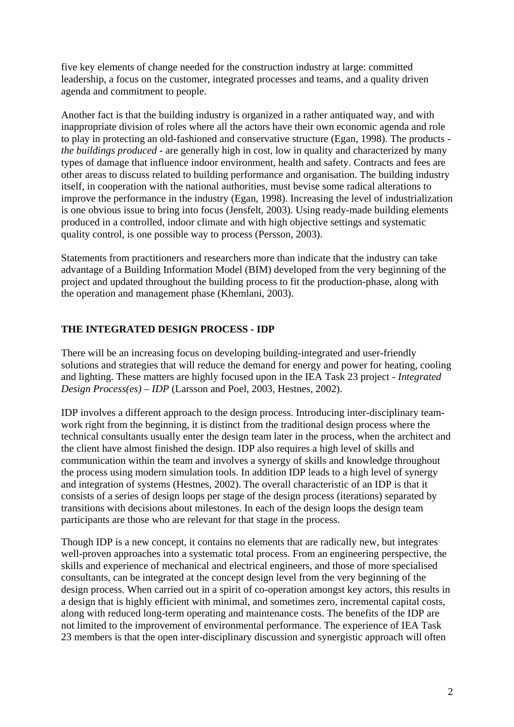five key elements of change needed for the construction industry at large: committed leadership, a focus on the customer, integrated processes and teams, and a quality driven agenda and commitment to people.

Another fact is that the building industry is organized in a rather antiquated way, and with inappropriate division of roles where all the actors have their own economic agenda and role to play in protecting an old-fashioned and conservative structure (Egan, 1998). The products *the buildings produced* - are generally high in cost, low in quality and characterized by many types of damage that influence indoor environment, health and safety. Contracts and fees are other areas to discuss related to building performance and organisation. The building industry itself, in cooperation with the national authorities, must bevise some radical alterations to improve the performance in the industry (Egan, 1998). Increasing the level of industrialization is one obvious issue to bring into focus (Jensfelt, 2003). Using ready-made building elements produced in a controlled, indoor climate and with high objective settings and systematic quality control, is one possible way to process (Persson, 2003).

Statements from practitioners and researchers more than indicate that the industry can take advantage of a Building Information Model (BIM) developed from the very beginning of the project and updated throughout the building process to fit the production-phase, along with the operation and management phase (Khemlani, 2003).

# **THE INTEGRATED DESIGN PROCESS - IDP**

There will be an increasing focus on developing building-integrated and user-friendly solutions and strategies that will reduce the demand for energy and power for heating, cooling and lighting. These matters are highly focused upon in the IEA Task 23 project - *Integrated Design Process(es) – IDP* (Larsson and Poel, 2003, Hestnes, 2002).

IDP involves a different approach to the design process. Introducing inter-disciplinary teamwork right from the beginning, it is distinct from the traditional design process where the technical consultants usually enter the design team later in the process, when the architect and the client have almost finished the design. IDP also requires a high level of skills and communication within the team and involves a synergy of skills and knowledge throughout the process using modern simulation tools. In addition IDP leads to a high level of synergy and integration of systems (Hestnes, 2002). The overall characteristic of an IDP is that it consists of a series of design loops per stage of the design process (iterations) separated by transitions with decisions about milestones. In each of the design loops the design team participants are those who are relevant for that stage in the process.

Though IDP is a new concept, it contains no elements that are radically new, but integrates well-proven approaches into a systematic total process. From an engineering perspective, the skills and experience of mechanical and electrical engineers, and those of more specialised consultants, can be integrated at the concept design level from the very beginning of the design process. When carried out in a spirit of co-operation amongst key actors, this results in a design that is highly efficient with minimal, and sometimes zero, incremental capital costs, along with reduced long-term operating and maintenance costs. The benefits of the IDP are not limited to the improvement of environmental performance. The experience of IEA Task 23 members is that the open inter-disciplinary discussion and synergistic approach will often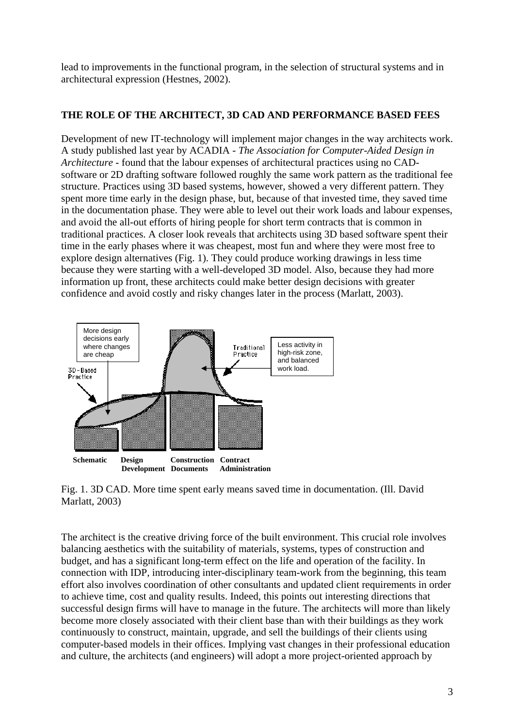lead to improvements in the functional program, in the selection of structural systems and in architectural expression (Hestnes, 2002).

## **THE ROLE OF THE ARCHITECT, 3D CAD AND PERFORMANCE BASED FEES**

Development of new IT-technology will implement major changes in the way architects work. A study published last year by ACADIA - *The Association for Computer-Aided Design in Architecture* - found that the labour expenses of architectural practices using no CADsoftware or 2D drafting software followed roughly the same work pattern as the traditional fee structure. Practices using 3D based systems, however, showed a very different pattern. They spent more time early in the design phase, but, because of that invested time, they saved time in the documentation phase. They were able to level out their work loads and labour expenses, and avoid the all-out efforts of hiring people for short term contracts that is common in traditional practices. A closer look reveals that architects using 3D based software spent their time in the early phases where it was cheapest, most fun and where they were most free to explore design alternatives (Fig. 1). They could produce working drawings in less time because they were starting with a well-developed 3D model. Also, because they had more information up front, these architects could make better design decisions with greater confidence and avoid costly and risky changes later in the process (Marlatt, 2003).



Fig. 1. 3D CAD. More time spent early means saved time in documentation. (Ill. David Marlatt, 2003)

The architect is the creative driving force of the built environment. This crucial role involves balancing aesthetics with the suitability of materials, systems, types of construction and budget, and has a significant long-term effect on the life and operation of the facility. In connection with IDP, introducing inter-disciplinary team-work from the beginning, this team effort also involves coordination of other consultants and updated client requirements in order to achieve time, cost and quality results. Indeed, this points out interesting directions that successful design firms will have to manage in the future. The architects will more than likely become more closely associated with their client base than with their buildings as they work continuously to construct, maintain, upgrade, and sell the buildings of their clients using computer-based models in their offices. Implying vast changes in their professional education and culture, the architects (and engineers) will adopt a more project-oriented approach by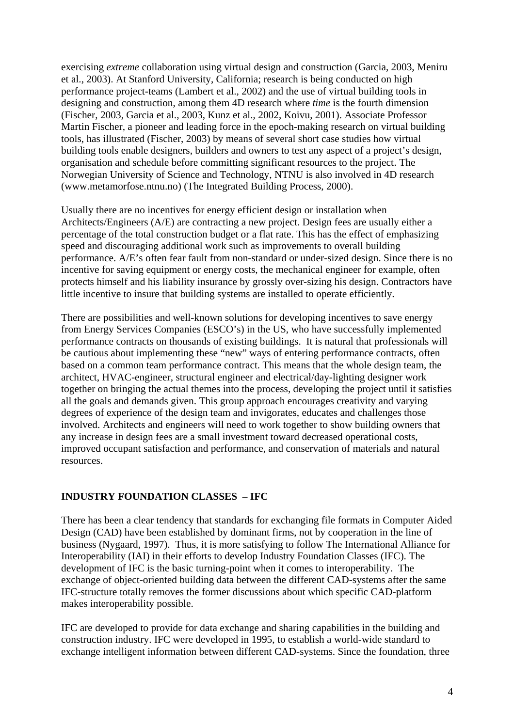exercising *extreme* collaboration using virtual design and construction (Garcia, 2003, Meniru et al., 2003). At Stanford University, California; research is being conducted on high performance project-teams (Lambert et al., 2002) and the use of virtual building tools in designing and construction, among them 4D research where *time* is the fourth dimension (Fischer, 2003, Garcia et al., 2003, Kunz et al., 2002, Koivu, 2001). Associate Professor Martin Fischer, a pioneer and leading force in the epoch-making research on virtual building tools, has illustrated (Fischer, 2003) by means of several short case studies how virtual building tools enable designers, builders and owners to test any aspect of a project's design, organisation and schedule before committing significant resources to the project. The Norwegian University of Science and Technology, NTNU is also involved in 4D research (www.metamorfose.ntnu.no) (The Integrated Building Process, 2000).

Usually there are no incentives for energy efficient design or installation when Architects/Engineers (A/E) are contracting a new project. Design fees are usually either a percentage of the total construction budget or a flat rate. This has the effect of emphasizing speed and discouraging additional work such as improvements to overall building performance. A/E's often fear fault from non-standard or under-sized design. Since there is no incentive for saving equipment or energy costs, the mechanical engineer for example, often protects himself and his liability insurance by grossly over-sizing his design. Contractors have little incentive to insure that building systems are installed to operate efficiently.

There are possibilities and well-known solutions for developing incentives to save energy from Energy Services Companies (ESCO's) in the US, who have successfully implemented performance contracts on thousands of existing buildings. It is natural that professionals will be cautious about implementing these "new" ways of entering performance contracts, often based on a common team performance contract. This means that the whole design team, the architect, HVAC-engineer, structural engineer and electrical/day-lighting designer work together on bringing the actual themes into the process, developing the project until it satisfies all the goals and demands given. This group approach encourages creativity and varying degrees of experience of the design team and invigorates, educates and challenges those involved. Architects and engineers will need to work together to show building owners that any increase in design fees are a small investment toward decreased operational costs, improved occupant satisfaction and performance, and conservation of materials and natural resources.

## **INDUSTRY FOUNDATION CLASSES – IFC**

There has been a clear tendency that standards for exchanging file formats in Computer Aided Design (CAD) have been established by dominant firms, not by cooperation in the line of business (Nygaard, 1997). Thus, it is more satisfying to follow The International Alliance for Interoperability (IAI) in their efforts to develop Industry Foundation Classes (IFC). The development of IFC is the basic turning-point when it comes to interoperability. The exchange of object-oriented building data between the different CAD-systems after the same IFC-structure totally removes the former discussions about which specific CAD-platform makes interoperability possible.

IFC are developed to provide for data exchange and sharing capabilities in the building and construction industry. IFC were developed in 1995, to establish a world-wide standard to exchange intelligent information between different CAD-systems. Since the foundation, three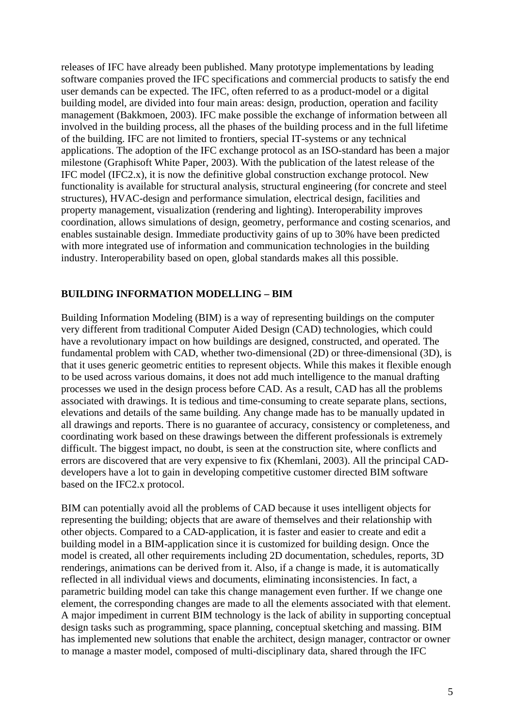releases of IFC have already been published. Many prototype implementations by leading software companies proved the IFC specifications and commercial products to satisfy the end user demands can be expected. The IFC, often referred to as a product-model or a digital building model, are divided into four main areas: design, production, operation and facility management (Bakkmoen, 2003). IFC make possible the exchange of information between all involved in the building process, all the phases of the building process and in the full lifetime of the building. IFC are not limited to frontiers, special IT-systems or any technical applications. The adoption of the IFC exchange protocol as an ISO-standard has been a major milestone (Graphisoft White Paper, 2003). With the publication of the latest release of the IFC model (IFC2.x), it is now the definitive global construction exchange protocol. New functionality is available for structural analysis, structural engineering (for concrete and steel structures), HVAC-design and performance simulation, electrical design, facilities and property management, visualization (rendering and lighting). Interoperability improves coordination, allows simulations of design, geometry, performance and costing scenarios, and enables sustainable design. Immediate productivity gains of up to 30% have been predicted with more integrated use of information and communication technologies in the building industry. Interoperability based on open, global standards makes all this possible.

#### **BUILDING INFORMATION MODELLING – BIM**

Building Information Modeling (BIM) is a way of representing buildings on the computer very different from traditional Computer Aided Design (CAD) technologies, which could have a revolutionary impact on how buildings are designed, constructed, and operated. The fundamental problem with CAD, whether two-dimensional (2D) or three-dimensional (3D), is that it uses generic geometric entities to represent objects. While this makes it flexible enough to be used across various domains, it does not add much intelligence to the manual drafting processes we used in the design process before CAD. As a result, CAD has all the problems associated with drawings. It is tedious and time-consuming to create separate plans, sections, elevations and details of the same building. Any change made has to be manually updated in all drawings and reports. There is no guarantee of accuracy, consistency or completeness, and coordinating work based on these drawings between the different professionals is extremely difficult. The biggest impact, no doubt, is seen at the construction site, where conflicts and errors are discovered that are very expensive to fix (Khemlani, 2003). All the principal CADdevelopers have a lot to gain in developing competitive customer directed BIM software based on the IFC2.x protocol.

BIM can potentially avoid all the problems of CAD because it uses intelligent objects for representing the building; objects that are aware of themselves and their relationship with other objects. Compared to a CAD-application, it is faster and easier to create and edit a building model in a BIM-application since it is customized for building design. Once the model is created, all other requirements including 2D documentation, schedules, reports, 3D renderings, animations can be derived from it. Also, if a change is made, it is automatically reflected in all individual views and documents, eliminating inconsistencies. In fact, a parametric building model can take this change management even further. If we change one element, the corresponding changes are made to all the elements associated with that element. A major impediment in current BIM technology is the lack of ability in supporting conceptual design tasks such as programming, space planning, conceptual sketching and massing. BIM has implemented new solutions that enable the architect, design manager, contractor or owner to manage a master model, composed of multi-disciplinary data, shared through the IFC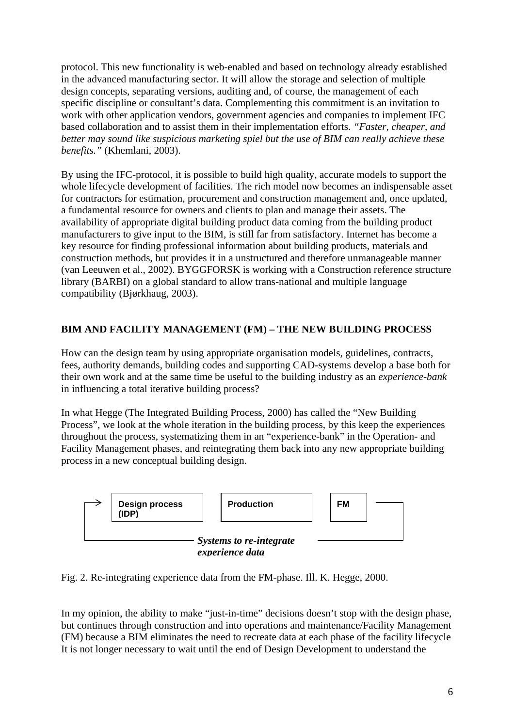protocol. This new functionality is web-enabled and based on technology already established in the advanced manufacturing sector. It will allow the storage and selection of multiple design concepts, separating versions, auditing and, of course, the management of each specific discipline or consultant's data. Complementing this commitment is an invitation to work with other application vendors, government agencies and companies to implement IFC based collaboration and to assist them in their implementation efforts. *"Faster, cheaper, and better may sound like suspicious marketing spiel but the use of BIM can really achieve these benefits."* (Khemlani, 2003).

By using the IFC-protocol, it is possible to build high quality, accurate models to support the whole lifecycle development of facilities. The rich model now becomes an indispensable asset for contractors for estimation, procurement and construction management and, once updated, a fundamental resource for owners and clients to plan and manage their assets. The availability of appropriate digital building product data coming from the building product manufacturers to give input to the BIM, is still far from satisfactory. Internet has become a key resource for finding professional information about building products, materials and construction methods, but provides it in a unstructured and therefore unmanageable manner (van Leeuwen et al., 2002). BYGGFORSK is working with a Construction reference structure library (BARBI) on a global standard to allow trans-national and multiple language compatibility (Bjørkhaug, 2003).

# **BIM AND FACILITY MANAGEMENT (FM) – THE NEW BUILDING PROCESS**

How can the design team by using appropriate organisation models, guidelines, contracts, fees, authority demands, building codes and supporting CAD-systems develop a base both for their own work and at the same time be useful to the building industry as an *experience-bank* in influencing a total iterative building process?

In what Hegge (The Integrated Building Process, 2000) has called the "New Building Process", we look at the whole iteration in the building process, by this keep the experiences throughout the process, systematizing them in an "experience-bank" in the Operation- and Facility Management phases, and reintegrating them back into any new appropriate building process in a new conceptual building design.



Fig. 2. Re-integrating experience data from the FM-phase. Ill. K. Hegge, 2000.

In my opinion, the ability to make "just-in-time" decisions doesn't stop with the design phase, but continues through construction and into operations and maintenance/Facility Management (FM) because a BIM eliminates the need to recreate data at each phase of the facility lifecycle It is not longer necessary to wait until the end of Design Development to understand the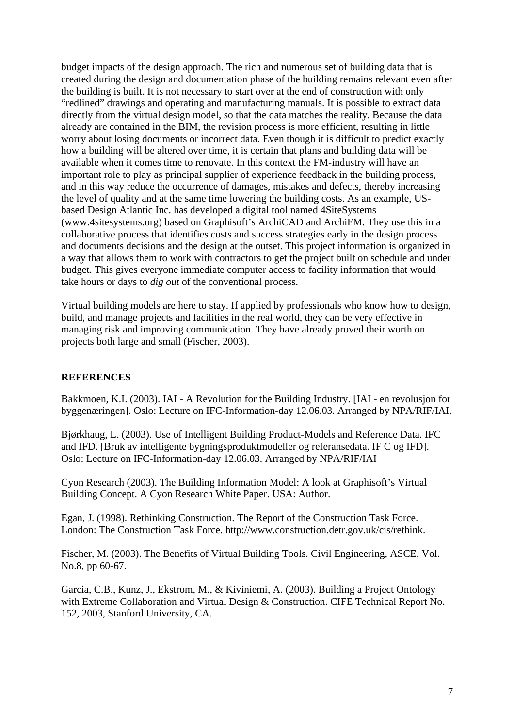budget impacts of the design approach. The rich and numerous set of building data that is created during the design and documentation phase of the building remains relevant even after the building is built. It is not necessary to start over at the end of construction with only "redlined" drawings and operating and manufacturing manuals. It is possible to extract data directly from the virtual design model, so that the data matches the reality. Because the data already are contained in the BIM, the revision process is more efficient, resulting in little worry about losing documents or incorrect data. Even though it is difficult to predict exactly how a building will be altered over time, it is certain that plans and building data will be available when it comes time to renovate. In this context the FM-industry will have an important role to play as principal supplier of experience feedback in the building process, and in this way reduce the occurrence of damages, mistakes and defects, thereby increasing the level of quality and at the same time lowering the building costs. As an example, USbased Design Atlantic Inc. has developed a digital tool named 4SiteSystems ([www.4sitesystems.org](http://www.4sitesystems.org/)) based on Graphisoft's ArchiCAD and ArchiFM. They use this in a collaborative process that identifies costs and success strategies early in the design process and documents decisions and the design at the outset. This project information is organized in a way that allows them to work with contractors to get the project built on schedule and under budget. This gives everyone immediate computer access to facility information that would take hours or days to *dig out* of the conventional process.

Virtual building models are here to stay. If applied by professionals who know how to design, build, and manage projects and facilities in the real world, they can be very effective in managing risk and improving communication. They have already proved their worth on projects both large and small (Fischer, 2003).

## **REFERENCES**

Bakkmoen, K.I. (2003). IAI - A Revolution for the Building Industry. [IAI - en revolusjon for byggenæringen]. Oslo: Lecture on IFC-Information-day 12.06.03. Arranged by NPA/RIF/IAI.

Bjørkhaug, L. (2003). Use of Intelligent Building Product-Models and Reference Data. IFC and IFD. [Bruk av intelligente bygningsproduktmodeller og referansedata. IF C og IFD]. Oslo: Lecture on IFC-Information-day 12.06.03. Arranged by NPA/RIF/IAI

Cyon Research (2003). The Building Information Model: A look at Graphisoft's Virtual Building Concept. A Cyon Research White Paper. USA: Author.

Egan, J. (1998). Rethinking Construction. The Report of the Construction Task Force. London: The Construction Task Force. http://www.construction.detr.gov.uk/cis/rethink.

Fischer, M. (2003). The Benefits of Virtual Building Tools. Civil Engineering, ASCE, Vol. No.8, pp 60-67.

Garcia, C.B., Kunz, J., Ekstrom, M., & Kiviniemi, A. (2003). Building a Project Ontology with Extreme Collaboration and Virtual Design & Construction. CIFE Technical Report No. 152, 2003, Stanford University, CA.